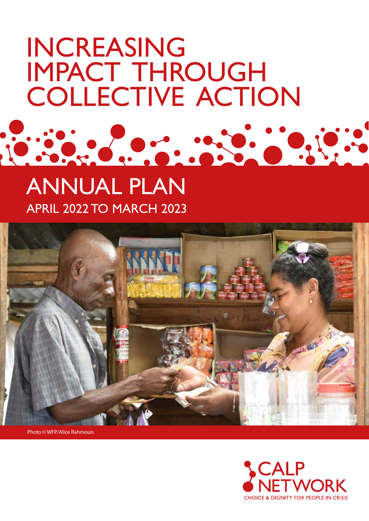# INCREASING IMPACT THROUGH COLLECTIVE ACTION

# ANNUAL PLAN APRIL 2022 TO MARCH 2023



Photo © WFP/Alice Rahmoun.

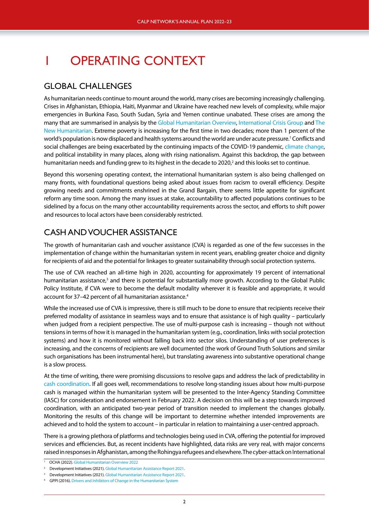# 1 OPERATING CONTEXT

#### GLOBAL CHALLENGES

As humanitarian needs continue to mount around the world, many crises are becoming increasingly challenging. Crises in Afghanistan, Ethiopia, Haiti, Myanmar and Ukraine have reached new levels of complexity, while major emergencies in Burkina Faso, South Sudan, Syria and Yemen continue unabated. These crises are among the many that are summarised in analysis by the [Global Humanitarian Overview,](https://gho.unocha.org/) [International Crisis Group](https://www.crisisgroup.org/global/10-conflicts-watch-2022) and [The](https://www.thenewhumanitarian.org/feature/2021/12/29/ten-humanitarian-crises-trends-to-watch) [New Humanitarian](https://www.thenewhumanitarian.org/feature/2021/12/29/ten-humanitarian-crises-trends-to-watch). Extreme poverty is increasing for the first time in two decades; more than 1 percent of the world's population is now displaced and health systems around the world are under acute pressure.<sup>1</sup> Conflicts and social challenges are being exacerbated by the continuing impacts of the COVID-19 pandemic, [climate change](https://www.unocha.org/2022gho#:~:text=The%20United%20Nations%20Office%20for%20the%20Coordination%20of,in%20Berlin%2C%20Brussels%2C%20London%2C%20Stockholm%20and%20Washington%2C%20D.C.), and political instability in many places, along with rising nationalism. Against this backdrop, the gap between humanitarian needs and funding grew to its highest in the decade to 2020,<sup>2</sup> and this looks set to continue.

Beyond this worsening operating context, the international humanitarian system is also being challenged on many fronts, with foundational questions being asked about issues from racism to overall efficiency. Despite growing needs and commitments enshrined in the Grand Bargain, there seems little appetite for significant reform any time soon. Among the many issues at stake, accountability to affected populations continues to be sidelined by a focus on the many other accountability requirements across the sector, and efforts to shift power and resources to local actors have been considerably restricted.

#### CASH AND VOUCHER ASSISTANCE

The growth of humanitarian cash and voucher assistance (CVA) is regarded as one of the few successes in the implementation of change within the humanitarian system in recent years, enabling greater choice and dignity for recipients of aid and the potential for linkages to greater sustainability through social protection systems.

The use of CVA reached an all-time high in 2020, accounting for approximately 19 percent of international humanitarian assistance,<sup>3</sup> and there is potential for substantially more growth. According to the Global Public Policy Institute, if CVA were to become the default modality wherever it is feasible and appropriate, it would account for 37-42 percent of all humanitarian assistance.<sup>4</sup>

While the increased use of CVA is impressive, there is still much to be done to ensure that recipients receive their preferred modality of assistance in seamless ways and to ensure that assistance is of high quality – particularly when judged from a recipient perspective. The use of multi-purpose cash is increasing – though not without tensions in terms of how it is managed in the humanitarian system (e.g., coordination, links with social protection systems) and how it is monitored without falling back into sector silos. Understanding of user preferences is increasing, and the concerns of recipients are well documented (the work of Ground Truth Solutions and similar such organisations has been instrumental here), but translating awareness into substantive operational change is a slow process.

At the time of writing, there were promising discussions to resolve gaps and address the lack of predictability in [cash coordination](https://www.calpnetwork.org/cash-coordination-2021-live-timeline/). If all goes well, recommendations to resolve long-standing issues about how multi-purpose cash is managed within the humanitarian system will be presented to the Inter-Agency Standing Committee (IASC) for consideration and endorsement in February 2022. A decision on this will be a step towards improved coordination, with an anticipated two-year period of transition needed to implement the changes globally. Monitoring the results of this change will be important to determine whether intended improvements are achieved and to hold the system to account – in particular in relation to maintaining a user-centred approach.

There is a growing plethora of platforms and technologies being used in CVA, offering the potential for improved services and efficiencies. But, as recent incidents have highlighted, data risks are very real, with major concerns raised in responses in Afghanistan, among the Rohingya refugees and elsewhere. The cyber-attack on International

<sup>1</sup> OCHA (2022). [Global Humanitarian Overview 2022](https://gho.unocha.org/)

<sup>2</sup> Development Initiatives (2021). [Global Humanitarian Assistance Report 2021.](https://devinit.org/resources/global-humanitarian-assistance-report-2021/#download)

Development Initiatives (2021). [Global Humanitarian Assistance Report 2021.](https://devinit.org/resources/global-humanitarian-assistance-report-2021/#downloads)

<sup>&</sup>lt;sup>4</sup> GPPI (2016). [Drivers and Inhibitors of Change in the Humanitarian System](https://www.calpnetwork.org/wp-content/uploads/2020/01/drivers-and-inhibitors-of-change-in-the-humanitarian-systemreport.pdf)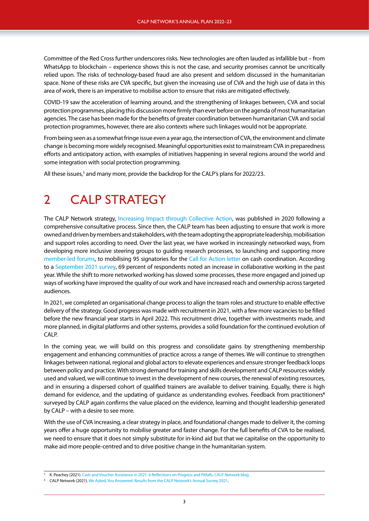Committee of the Red Cross further underscores risks. New technologies are often lauded as infallible but – from WhatsApp to blockchain – experience shows this is not the case, and security promises cannot be uncritically relied upon. The risks of technology-based fraud are also present and seldom discussed in the humanitarian space. None of these risks are CVA specific, but given the increasing use of CVA and the high use of data in this area of work, there is an imperative to mobilise action to ensure that risks are mitigated effectively.

COVID-19 saw the acceleration of learning around, and the strengthening of linkages between, CVA and social protection programmes, placing this discussion more firmly than ever before on the agenda of most humanitarian agencies. The case has been made for the benefits of greater coordination between humanitarian CVA and social protection programmes, however, there are also contexts where such linkages would not be appropriate.

From being seen as a somewhat fringe issue even a year ago, the intersection of CVA, the environment and climate change is becoming more widely recognised. Meaningful opportunities exist to mainstream CVA in preparedness efforts and anticipatory action, with examples of initiatives happening in several regions around the world and some integration with social protection programming.

All these issues,<sup>5</sup> and many more, provide the backdrop for the CALP's plans for 2022/23.

## 2 CALP STRATEGY

The CALP Network strategy, [Increasing Impact through Collective Action,](https://www.calpnetwork.org/about/strategy/) was published in 2020 following a comprehensive consultative process. Since then, the CALP team has been adjusting to ensure that work is more owned and driven by members and stakeholders, with the team adopting the appropriate leadership, mobilisation and support roles according to need. Over the last year, we have worked in increasingly networked ways, from developing more inclusive steering groups to guiding research processes, to launching and supporting more [member-led forums,](https://www.calpnetwork.org/community/) to mobilising 95 signatories for the [Call for Action letter](https://www.calpnetwork.org/cash-coordination-2022-live-timeline/) on cash coordination. According to a [September 2021 survey,](https://www.calpnetwork.org/publication/we-asked-you-answered-results-from-the-calp-networks-annual-survey-2021/) 69 percent of respondents noted an increase in collaborative working in the past year. While the shift to more networked working has slowed some processes, these more engaged and joined up ways of working have improved the quality of our work and have increased reach and ownership across targeted audiences.

In 2021, we completed an organisational change process to align the team roles and structure to enable effective delivery of the strategy. Good progress was made with recruitment in 2021, with a few more vacancies to be filled before the new financial year starts in April 2022. This recruitment drive, together with investments made, and more planned, in digital platforms and other systems, provides a solid foundation for the continued evolution of CALP.

In the coming year, we will build on this progress and consolidate gains by strengthening membership engagement and enhancing communities of practice across a range of themes. We will continue to strengthen linkages between national, regional and global actors to elevate experiences and ensure stronger feedback loops between policy and practice. With strong demand for training and skills development and CALP resources widely used and valued, we will continue to invest in the development of new courses, the renewal of existing resources, and in ensuring a dispersed cohort of qualified trainers are available to deliver training. Equally, there is high demand for evidence, and the updating of guidance as understanding evolves. Feedback from practitioners**<sup>6</sup>** surveyed by CALP again confirms the value placed on the evidence, learning and thought leadership generated by CALP – with a desire to see more.

With the use of CVA increasing, a clear strategy in place, and foundational changes made to deliver it, the coming years offer a huge opportunity to mobilise greater and faster change. For the full benefits of CVA to be realised, we need to ensure that it does not simply substitute for in-kind aid but that we capitalise on the opportunity to make aid more people-centred and to drive positive change in the humanitarian system.

<sup>5</sup> K. Peachey (2021). [Cash and Voucher Assistance in 2021: 6 Reflections on Progress and Pitfalls](https://www.calpnetwork.org/blog/cash-and-voucher-assistance-in-2021-6-reflections-on-progress-and-pitfalls/). CALP Network blog

<sup>6</sup> CALP Network (2021[\). We Asked, You Answered: Results from the CALP Network's Annual Survey 2021.](https://www.calpnetwork.org/publication/we-asked-you-answered-results-from-the-calp-networks-annual-survey-2021/)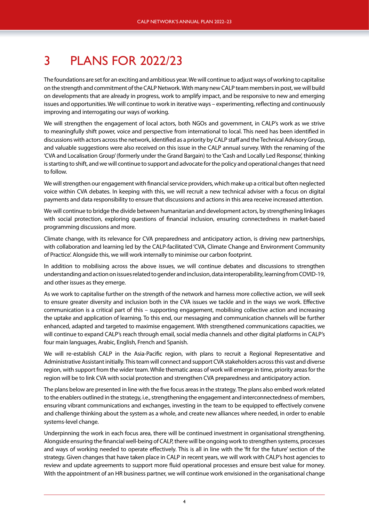# 3 PLANS FOR 2022/23

The foundations are set for an exciting and ambitious year. We will continue to adjust ways of working to capitalise on the strength and commitment of the CALP Network. With many new CALP team members in post, we will build on developments that are already in progress, work to amplify impact, and be responsive to new and emerging issues and opportunities. We will continue to work in iterative ways – experimenting, reflecting and continuously improving and interrogating our ways of working.

We will strengthen the engagement of local actors, both NGOs and government, in CALP's work as we strive to meaningfully shift power, voice and perspective from international to local. This need has been identified in discussions with actors across the network, identified as a priority by CALP staff and the Technical Advisory Group, and valuable suggestions were also received on this issue in the CALP annual survey. With the renaming of the 'CVA and Localisation Group' (formerly under the Grand Bargain) to the 'Cash and Locally Led Response', thinking is starting to shift, and we will continue to support and advocate for the policy and operational changes that need to follow.

We will strengthen our engagement with financial service providers, which make up a critical but often neglected voice within CVA debates. In keeping with this, we will recruit a new technical adviser with a focus on digital payments and data responsibility to ensure that discussions and actions in this area receive increased attention.

We will continue to bridge the divide between humanitarian and development actors, by strengthening linkages with social protection, exploring questions of financial inclusion, ensuring connectedness in market-based programming discussions and more.

Climate change, with its relevance for CVA preparedness and anticipatory action, is driving new partnerships, with collaboration and learning led by the CALP-facilitated 'CVA, Climate Change and Environment Community of Practice'. Alongside this, we will work internally to minimise our carbon footprint.

In addition to mobilising across the above issues, we will continue debates and discussions to strengthen understanding and action on issues related to gender and inclusion, data interoperability, learning from COVID-19, and other issues as they emerge.

As we work to capitalise further on the strength of the network and harness more collective action, we will seek to ensure greater diversity and inclusion both in the CVA issues we tackle and in the ways we work. Effective communication is a critical part of this – supporting engagement, mobilising collective action and increasing the uptake and application of learning. To this end, our messaging and communication channels will be further enhanced, adapted and targeted to maximise engagement. With strengthened communications capacities, we will continue to expand CALP's reach through email, social media channels and other digital platforms in CALP's four main languages, Arabic, English, French and Spanish.

We will re-establish CALP in the Asia-Pacific region, with plans to recruit a Regional Representative and Administrative Assistant initially. This team will connect and support CVA stakeholders across this vast and diverse region, with support from the wider team. While thematic areas of work will emerge in time, priority areas for the region will be to link CVA with social protection and strengthen CVA preparedness and anticipatory action.

The plans below are presented in line with the five focus areas in the strategy. The plans also embed work related to the enablers outlined in the strategy, i.e., strengthening the engagement and interconnectedness of members, ensuring vibrant communications and exchanges, investing in the team to be equipped to effectively convene and challenge thinking about the system as a whole, and create new alliances where needed, in order to enable systems-level change.

Underpinning the work in each focus area, there will be continued investment in organisational strengthening. Alongside ensuring the financial well-being of CALP, there will be ongoing work to strengthen systems, processes and ways of working needed to operate effectively. This is all in line with the 'fit for the future' section of the strategy. Given changes that have taken place in CALP in recent years, we will work with CALP's host agencies to review and update agreements to support more fluid operational processes and ensure best value for money. With the appointment of an HR business partner, we will continue work envisioned in the organisational change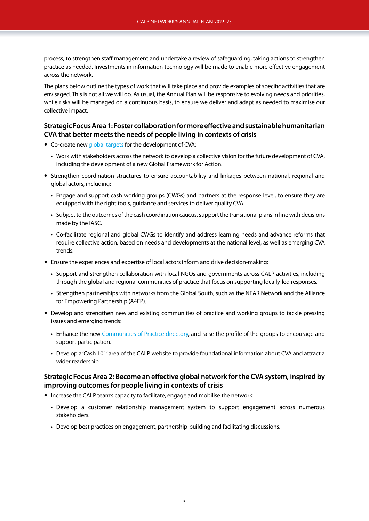process, to strengthen staff management and undertake a review of safeguarding, taking actions to strengthen practice as needed. Investments in information technology will be made to enable more effective engagement across the network.

The plans below outline the types of work that will take place and provide examples of specific activities that are envisaged. This is not all we will do. As usual, the Annual Plan will be responsive to evolving needs and priorities, while risks will be managed on a continuous basis, to ensure we deliver and adapt as needed to maximise our collective impact.

#### **Strategic Focus Area 1: Foster collaboration for more effective and sustainable humanitarian CVA that better meets the needs of people living in contexts of crisis**

- Co-create new [global targets](https://www.calpnetwork.org/publication/global-framework-for-action/) for the development of CVA:
	- Work with stakeholders across the network to develop a collective vision for the future development of CVA, including the development of a new Global Framework for Action.
- Strengthen coordination structures to ensure accountability and linkages between national, regional and global actors, including:
	- Engage and support cash working groups (CWGs) and partners at the response level, to ensure they are equipped with the right tools, guidance and services to deliver quality CVA.
	- Subject to the outcomes of the cash coordination caucus, support the transitional plans in line with decisions made by the IASC.
	- Co-facilitate regional and global CWGs to identify and address learning needs and advance reforms that require collective action, based on needs and developments at the national level, as well as emerging CVA trends.
- Ensure the experiences and expertise of local actors inform and drive decision-making:
	- Support and strengthen collaboration with local NGOs and governments across CALP activities, including through the global and regional communities of practice that focus on supporting locally-led responses.
	- Strengthen partnerships with networks from the Global South, such as the NEAR Network and the Alliance for Empowering Partnership (A4EP).
- Develop and strengthen new and existing communities of practice and working groups to tackle pressing issues and emerging trends:
	- Enhance the new [Communities of Practice directory,](https://www.calpnetwork.org/community/communities-of-practice/) and raise the profile of the groups to encourage and support participation.
	- Develop a 'Cash 101' area of the CALP website to provide foundational information about CVA and attract a wider readership.

#### **Strategic Focus Area 2: Become an effective global network for the CVA system, inspired by improving outcomes for people living in contexts of crisis**

- Increase the CALP team's capacity to facilitate, engage and mobilise the network:
	- Develop a customer relationship management system to support engagement across numerous stakeholders.
	- Develop best practices on engagement, partnership-building and facilitating discussions.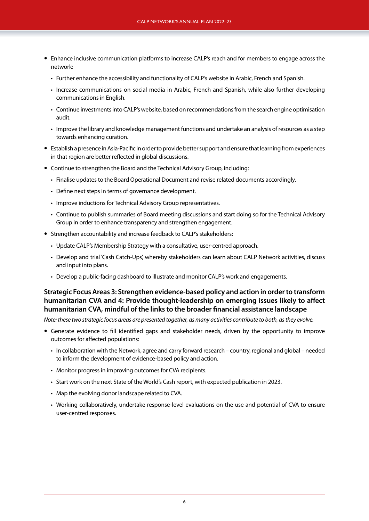- Enhance inclusive communication platforms to increase CALP's reach and for members to engage across the network:
	- Further enhance the accessibility and functionality of CALP's website in Arabic, French and Spanish.
	- Increase communications on social media in Arabic, French and Spanish, while also further developing communications in English.
	- Continue investments into CALP's website, based on recommendations from the search engine optimisation audit.
	- Improve the library and knowledge management functions and undertake an analysis of resources as a step towards enhancing curation.
- Establish a presence in Asia-Pacific in order to provide better support and ensure that learning from experiences in that region are better reflected in global discussions.
- Continue to strengthen the Board and the Technical Advisory Group, including:
	- Finalise updates to the Board Operational Document and revise related documents accordingly.
	- Define next steps in terms of governance development.
	- Improve inductions for Technical Advisory Group representatives.
	- Continue to publish summaries of Board meeting discussions and start doing so for the Technical Advisory Group in order to enhance transparency and strengthen engagement.
- Strengthen accountability and increase feedback to CALP's stakeholders:
	- Update CALP's Membership Strategy with a consultative, user-centred approach.
	- Develop and trial 'Cash Catch-Ups', whereby stakeholders can learn about CALP Network activities, discuss and input into plans.
	- Develop a public-facing dashboard to illustrate and monitor CALP's work and engagements.

#### **Strategic Focus Areas 3: Strengthen evidence-based policy and action in order to transform humanitarian CVA and 4: Provide thought-leadership on emerging issues likely to affect humanitarian CVA, mindful of the links to the broader financial assistance landscape**

*Note: these two strategic focus areas are presented together, as many activities contribute to both, as they evolve.*

- Generate evidence to fill identified gaps and stakeholder needs, driven by the opportunity to improve outcomes for affected populations:
	- In collaboration with the Network, agree and carry forward research country, regional and global needed to inform the development of evidence-based policy and action.
	- Monitor progress in improving outcomes for CVA recipients.
	- Start work on the next State of the World's Cash report, with expected publication in 2023.
	- Map the evolving donor landscape related to CVA.
	- Working collaboratively, undertake response-level evaluations on the use and potential of CVA to ensure user-centred responses.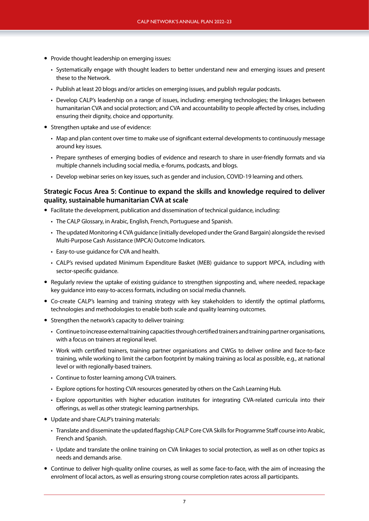- Provide thought leadership on emerging issues:
	- Systematically engage with thought leaders to better understand new and emerging issues and present these to the Network.
	- Publish at least 20 blogs and/or articles on emerging issues, and publish regular podcasts.
	- Develop CALP's leadership on a range of issues, including: emerging technologies; the linkages between humanitarian CVA and social protection; and CVA and accountability to people affected by crises, including ensuring their dignity, choice and opportunity.
- Strengthen uptake and use of evidence:
	- Map and plan content over time to make use of significant external developments to continuously message around key issues.
	- Prepare syntheses of emerging bodies of evidence and research to share in user-friendly formats and via multiple channels including social media, e-forums, podcasts, and blogs.
	- Develop webinar series on key issues, such as gender and inclusion, COVID-19 learning and others.

#### **Strategic Focus Area 5: Continue to expand the skills and knowledge required to deliver quality, sustainable humanitarian CVA at scale**

- Facilitate the development, publication and dissemination of technical guidance, including:
	- The CALP Glossary, in Arabic, English, French, Portuguese and Spanish.
	- The updated Monitoring 4 CVA guidance (initially developed under the Grand Bargain) alongside the revised Multi-Purpose Cash Assistance (MPCA) Outcome Indicators.
	- Easy-to-use guidance for CVA and health.
	- CALP's revised updated Minimum Expenditure Basket (MEB) guidance to support MPCA, including with sector-specific guidance.
- Regularly review the uptake of existing guidance to strengthen signposting and, where needed, repackage key guidance into easy-to-access formats, including on social media channels.
- Co-create CALP's learning and training strategy with key stakeholders to identify the optimal platforms, technologies and methodologies to enable both scale and quality learning outcomes.
- Strengthen the network's capacity to deliver training:
	- Continue to increase external training capacities through certified trainers and training partner organisations, with a focus on trainers at regional level.
	- Work with certified trainers, training partner organisations and CWGs to deliver online and face-to-face training, while working to limit the carbon footprint by making training as local as possible, e.g., at national level or with regionally-based trainers.
	- Continue to foster learning among CVA trainers.
	- Explore options for hosting CVA resources generated by others on the Cash Learning Hub.
	- Explore opportunities with higher education institutes for integrating CVA-related curricula into their offerings, as well as other strategic learning partnerships.
- Update and share CALP's training materials:
	- Translate and disseminate the updated flagship CALP Core CVA Skills for Programme Staff course into Arabic, French and Spanish.
	- Update and translate the online training on CVA linkages to social protection, as well as on other topics as needs and demands arise.
- Continue to deliver high-quality online courses, as well as some face-to-face, with the aim of increasing the enrolment of local actors, as well as ensuring strong course completion rates across all participants.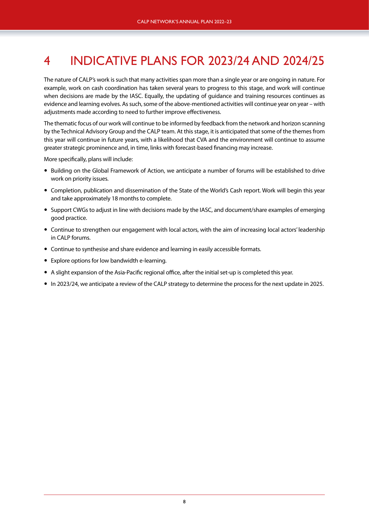# 4 INDICATIVE PLANS FOR 2023/24 AND 2024/25

The nature of CALP's work is such that many activities span more than a single year or are ongoing in nature. For example, work on cash coordination has taken several years to progress to this stage, and work will continue when decisions are made by the IASC. Equally, the updating of guidance and training resources continues as evidence and learning evolves. As such, some of the above-mentioned activities will continue year on year – with adjustments made according to need to further improve effectiveness.

The thematic focus of our work will continue to be informed by feedback from the network and horizon scanning by the Technical Advisory Group and the CALP team. At this stage, it is anticipated that some of the themes from this year will continue in future years, with a likelihood that CVA and the environment will continue to assume greater strategic prominence and, in time, links with forecast-based financing may increase.

More specifically, plans will include:

- Building on the Global Framework of Action, we anticipate a number of forums will be established to drive work on priority issues.
- Completion, publication and dissemination of the State of the World's Cash report. Work will begin this year and take approximately 18 months to complete.
- Support CWGs to adjust in line with decisions made by the IASC, and document/share examples of emerging good practice.
- Continue to strengthen our engagement with local actors, with the aim of increasing local actors' leadership in CALP forums.
- Continue to synthesise and share evidence and learning in easily accessible formats.
- Explore options for low bandwidth e-learning.
- A slight expansion of the Asia-Pacific regional office, after the initial set-up is completed this year.
- In 2023/24, we anticipate a review of the CALP strategy to determine the process for the next update in 2025.